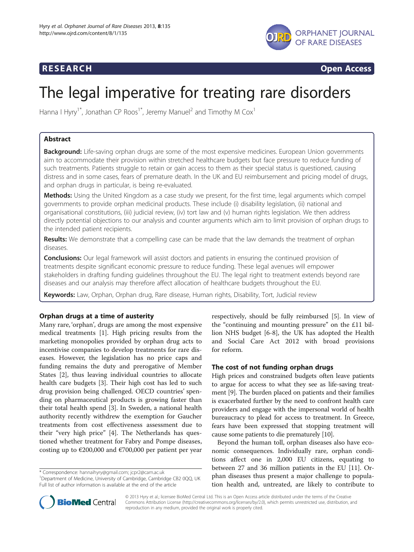

**RESEARCH CHINESEARCH CHINESEARCH CHINESE** 

# The legal imperative for treating rare disorders

Hanna I Hyry<sup>1\*</sup>, Jonathan CP Roos<sup>1\*</sup>, Jeremy Manuel<sup>2</sup> and Timothy M Cox<sup>1</sup>

# Abstract

Background: Life-saving orphan drugs are some of the most expensive medicines. European Union governments aim to accommodate their provision within stretched healthcare budgets but face pressure to reduce funding of such treatments. Patients struggle to retain or gain access to them as their special status is questioned, causing distress and in some cases, fears of premature death. In the UK and EU reimbursement and pricing model of drugs, and orphan drugs in particular, is being re-evaluated.

Methods: Using the United Kingdom as a case study we present, for the first time, legal arguments which compel governments to provide orphan medicinal products. These include (i) disability legislation, (ii) national and organisational constitutions, (iii) judicial review, (iv) tort law and (v) human rights legislation. We then address directly potential objections to our analysis and counter arguments which aim to limit provision of orphan drugs to the intended patient recipients.

**Results:** We demonstrate that a compelling case can be made that the law demands the treatment of orphan diseases.

**Conclusions:** Our legal framework will assist doctors and patients in ensuring the continued provision of treatments despite significant economic pressure to reduce funding. These legal avenues will empower stakeholders in drafting funding guidelines throughout the EU. The legal right to treatment extends beyond rare diseases and our analysis may therefore affect allocation of healthcare budgets throughout the EU.

Keywords: Law, Orphan, Orphan drug, Rare disease, Human rights, Disability, Tort, Judicial review

# Orphan drugs at a time of austerity

Many rare, 'orphan', drugs are among the most expensive medical treatments [[1\]](#page-5-0). High pricing results from the marketing monopolies provided by orphan drug acts to incentivise companies to develop treatments for rare diseases. However, the legislation has no price caps and funding remains the duty and prerogative of Member States [\[2](#page-5-0)], thus leaving individual countries to allocate health care budgets [[3\]](#page-5-0). Their high cost has led to such drug provision being challenged. OECD countries' spending on pharmaceutical products is growing faster than their total health spend [\[3](#page-5-0)]. In Sweden, a national health authority recently withdrew the exemption for Gaucher treatments from cost effectiveness assessment due to their "very high price" [[4\]](#page-5-0). The Netherlands has questioned whether treatment for Fabry and Pompe diseases, costing up to  $\epsilon$ 200,000 and  $\epsilon$ 700,000 per patient per year

respectively, should be fully reimbursed [\[5](#page-5-0)]. In view of the "continuing and mounting pressure" on the £11 billion NHS budget [\[6](#page-5-0)-[8\]](#page-5-0), the UK has adopted the Health and Social Care Act 2012 with broad provisions for reform.

# The cost of not funding orphan drugs

High prices and constrained budgets often leave patients to argue for access to what they see as life-saving treatment [\[9](#page-5-0)]. The burden placed on patients and their families is exacerbated further by the need to confront health care providers and engage with the impersonal world of health bureaucracy to plead for access to treatment. In Greece, fears have been expressed that stopping treatment will cause some patients to die prematurely [\[10\]](#page-5-0).

Beyond the human toll, orphan diseases also have economic consequences. Individually rare, orphan conditions affect one in 2,000 EU citizens, equating to between 27 and 36 million patients in the EU [[11\]](#page-5-0). Orphan diseases thus present a major challenge to population health and, untreated, are likely to contribute to



© 2013 Hyry et al.; licensee BioMed Central Ltd. This is an Open Access article distributed under the terms of the Creative Commons Attribution License [\(http://creativecommons.org/licenses/by/2.0\)](http://creativecommons.org/licenses/by/2.0), which permits unrestricted use, distribution, and reproduction in any medium, provided the original work is properly cited.

<sup>\*</sup> Correspondence: [hannaihyry@gmail.com](mailto:hannaihyry@gmail.com); [jcpr2@cam.ac.uk](mailto:jcpr2@cam.ac.uk) <sup>1</sup>

<sup>&</sup>lt;sup>1</sup>Department of Medicine, University of Cambridge, Cambridge CB2 0QQ, UK Full list of author information is available at the end of the article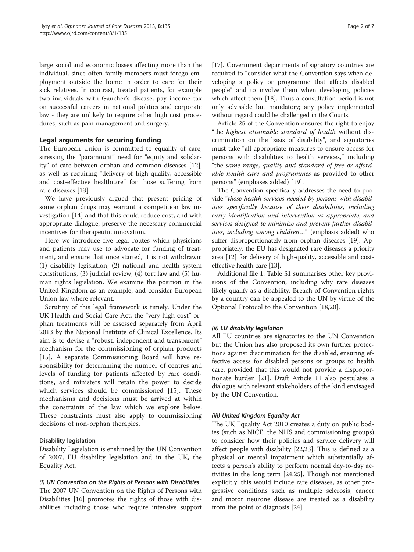large social and economic losses affecting more than the individual, since often family members must forego employment outside the home in order to care for their sick relatives. In contrast, treated patients, for example two individuals with Gaucher's disease, pay income tax on successful careers in national politics and corporate law - they are unlikely to require other high cost procedures, such as pain management and surgery.

# Legal arguments for securing funding

The European Union is committed to equality of care, stressing the "paramount" need for "equity and solidarity" of care between orphan and common diseases [\[12](#page-5-0)], as well as requiring "delivery of high-quality, accessible and cost-effective healthcare" for those suffering from rare diseases [\[13](#page-5-0)].

We have previously argued that present pricing of some orphan drugs may warrant a competition law investigation [[14](#page-5-0)] and that this could reduce cost, and with appropriate dialogue, preserve the necessary commercial incentives for therapeutic innovation.

Here we introduce five legal routes which physicians and patients may use to advocate for funding of treatment, and ensure that once started, it is not withdrawn: (1) disability legislation, (2) national and health system constitutions, (3) judicial review, (4) tort law and (5) human rights legislation. We examine the position in the United Kingdom as an example, and consider European Union law where relevant.

Scrutiny of this legal framework is timely. Under the UK Health and Social Care Act, the "very high cost" orphan treatments will be assessed separately from April 2013 by the National Institute of Clinical Excellence. Its aim is to devise a "robust, independent and transparent" mechanism for the commissioning of orphan products [[15\]](#page-5-0). A separate Commissioning Board will have responsibility for determining the number of centres and levels of funding for patients affected by rare conditions, and ministers will retain the power to decide which services should be commissioned [\[15](#page-5-0)]. These mechanisms and decisions must be arrived at within the constraints of the law which we explore below. These constraints must also apply to commissioning decisions of non-orphan therapies.

# Disability legislation

Disability Legislation is enshrined by the UN Convention of 2007, EU disability legislation and in the UK, the Equality Act.

(i) UN Convention on the Rights of Persons with Disabilities The 2007 UN Convention on the Rights of Persons with Disabilities [[16\]](#page-5-0) promotes the rights of those with disabilities including those who require intensive support

[[17](#page-5-0)]. Government departments of signatory countries are required to "consider what the Convention says when developing a policy or programme that affects disabled people" and to involve them when developing policies which affect them [\[18\]](#page-5-0). Thus a consultation period is not only advisable but mandatory; any policy implemented without regard could be challenged in the Courts.

Article 25 of the Convention ensures the right to enjoy "the highest attainable standard of health without discrimination on the basis of disability", and signatories must take "all appropriate measures to ensure access for persons with disabilities to health services," including "the same range, quality and standard of free or affordable health care and programmes as provided to other persons" (emphases added) [\[19\]](#page-5-0).

The Convention specifically addresses the need to provide "those health services needed by persons with disabilities specifically because of their disabilities, including early identification and intervention as appropriate, and services designed to minimize and prevent further disabilities, including among children..." (emphasis added) who suffer disproportionately from orphan diseases [\[19\]](#page-5-0). Appropriately, the EU has designated rare diseases a priority area [[12](#page-5-0)] for delivery of high-quality, accessible and costeffective health care [\[13](#page-5-0)].

Additional file [1:](#page-5-0) Table S1 summarises other key provisions of the Convention, including why rare diseases likely qualify as a disability. Breach of Convention rights by a country can be appealed to the UN by virtue of the Optional Protocol to the Convention [\[18,20](#page-5-0)].

# (ii) EU disability legislation

All EU countries are signatories to the UN Convention but the Union has also proposed its own further protections against discrimination for the disabled, ensuring effective access for disabled persons or groups to health care, provided that this would not provide a disproportionate burden [[21\]](#page-5-0). Draft Article 11 also postulates a dialogue with relevant stakeholders of the kind envisaged by the UN Convention.

# (iii) United Kingdom Equality Act

The UK Equality Act 2010 creates a duty on public bodies (such as NICE, the NHS and commissioning groups) to consider how their policies and service delivery will affect people with disability [[22,23\]](#page-5-0). This is defined as a physical or mental impairment which substantially affects a person's ability to perform normal day-to-day activities in the long term [[24,25\]](#page-5-0). Though not mentioned explicitly, this would include rare diseases, as other progressive conditions such as multiple sclerosis, cancer and motor neurone disease are treated as a disability from the point of diagnosis [\[24](#page-5-0)].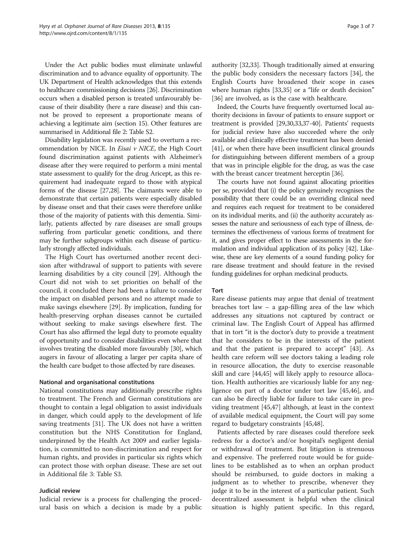Under the Act public bodies must eliminate unlawful discrimination and to advance equality of opportunity. The UK Department of Health acknowledges that this extends to healthcare commissioning decisions [\[26\]](#page-5-0). Discrimination occurs when a disabled person is treated unfavourably because of their disability (here a rare disease) and this cannot be proved to represent a proportionate means of achieving a legitimate aim (section 15). Other features are summarised in Additional file [2](#page-5-0): Table S2.

Disability legislation was recently used to overturn a recommendation by NICE. In Eisai v NICE, the High Court found discrimination against patients with Alzheimer's disease after they were required to perform a mini mental state assessment to qualify for the drug Aricept, as this requirement had inadequate regard to those with atypical forms of the disease [\[27,28](#page-5-0)]. The claimants were able to demonstrate that certain patients were especially disabled by disease onset and that their cases were therefore unlike those of the majority of patients with this dementia. Similarly, patients affected by rare diseases are small groups suffering from particular genetic conditions, and there may be further subgroups within each disease of particularly strongly affected individuals.

The High Court has overturned another recent decision after withdrawal of support to patients with severe learning disabilities by a city council [[29](#page-5-0)]. Although the Court did not wish to set priorities on behalf of the council, it concluded there had been a failure to consider the impact on disabled persons and no attempt made to make savings elsewhere [\[29](#page-5-0)]. By implication, funding for health-preserving orphan diseases cannot be curtailed without seeking to make savings elsewhere first. The Court has also affirmed the legal duty to promote equality of opportunity and to consider disabilities even where that involves treating the disabled more favourably [[30](#page-5-0)], which augers in favour of allocating a larger per capita share of the health care budget to those affected by rare diseases.

#### National and organisational constitutions

National constitutions may additionally prescribe rights to treatment. The French and German constitutions are thought to contain a legal obligation to assist individuals in danger, which could apply to the development of life saving treatments [\[31\]](#page-5-0). The UK does not have a written constitution but the NHS Constitution for England, underpinned by the Health Act 2009 and earlier legislation, is committed to non-discrimination and respect for human rights, and provides in particular six rights which can protect those with orphan disease. These are set out in Additional file [3:](#page-5-0) Table S3.

#### Judicial review

Judicial review is a process for challenging the procedural basis on which a decision is made by a public authority [[32,33\]](#page-6-0). Though traditionally aimed at ensuring the public body considers the necessary factors [\[34\]](#page-6-0), the English Courts have broadened their scope in cases where human rights [\[33,35\]](#page-6-0) or a "life or death decision" [[36\]](#page-6-0) are involved, as is the case with healthcare.

Indeed, the Courts have frequently overturned local authority decisions in favour of patients to ensure support or treatment is provided [[29,30](#page-5-0)[,33,37](#page-6-0)-[40](#page-6-0)]. Patients' requests for judicial review have also succeeded where the only available and clinically effective treatment has been denied [[41](#page-6-0)], or when there have been insufficient clinical grounds for distinguishing between different members of a group that was in principle eligible for the drug, as was the case with the breast cancer treatment herceptin [[36](#page-6-0)].

The courts have not found against allocating priorities per se, provided that (i) the policy genuinely recognises the possibility that there could be an overriding clinical need and requires each request for treatment to be considered on its individual merits, and (ii) the authority accurately assesses the nature and seriousness of each type of illness, determines the effectiveness of various forms of treatment for it, and gives proper effect to these assessments in the formulation and individual application of its policy [\[42](#page-6-0)]. Likewise, these are key elements of a sound funding policy for rare disease treatment and should feature in the revised funding guidelines for orphan medicinal products.

#### Tort

Rare disease patients may argue that denial of treatment breaches tort law – a gap-filling area of the law which addresses any situations not captured by contract or criminal law. The English Court of Appeal has affirmed that in tort "it is the doctor's duty to provide a treatment that he considers to be in the interests of the patient and that the patient is prepared to accept" [[43\]](#page-6-0). As health care reform will see doctors taking a leading role in resource allocation, the duty to exercise reasonable skill and care [\[44,45\]](#page-6-0) will likely apply to resource allocation. Health authorities are vicariously liable for any negligence on part of a doctor under tort law [\[45,46](#page-6-0)], and can also be directly liable for failure to take care in providing treatment [\[45,47\]](#page-6-0) although, at least in the context of available medical equipment, the Court will pay some regard to budgetary constraints [\[45,48](#page-6-0)].

Patients affected by rare diseases could therefore seek redress for a doctor's and/or hospital's negligent denial or withdrawal of treatment. But litigation is strenuous and expensive. The preferred route would be for guidelines to be established as to when an orphan product should be reimbursed, to guide doctors in making a judgment as to whether to prescribe, whenever they judge it to be in the interest of a particular patient. Such decentralized assessment is helpful when the clinical situation is highly patient specific. In this regard,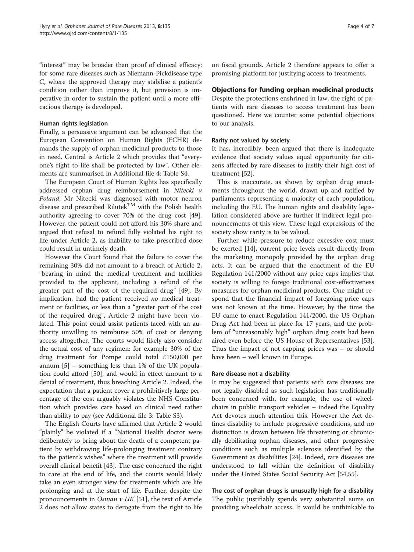"interest" may be broader than proof of clinical efficacy: for some rare diseases such as Niemann-Pickdisease type C, where the approved therapy may stabilise a patient's condition rather than improve it, but provision is imperative in order to sustain the patient until a more efficacious therapy is developed.

#### Human rights legislation

Finally, a persuasive argument can be advanced that the European Convention on Human Rights (ECHR) demands the supply of orphan medicinal products to those in need. Central is Article 2 which provides that "everyone's right to life shall be protected by law". Other elements are summarised in Additional file [4:](#page-5-0) Table S4.

The European Court of Human Rights has specifically addressed orphan drug reimbursement in Nitecki v Poland. Mr Nitecki was diagnosed with motor neuron disease and prescribed Rilutek<sup>TM</sup> with the Polish health authority agreeing to cover 70% of the drug cost [\[49](#page-6-0)]. However, the patient could not afford his 30% share and argued that refusal to refund fully violated his right to life under Article 2, as inability to take prescribed dose could result in untimely death.

However the Court found that the failure to cover the remaining 30% did not amount to a breach of Article 2, "bearing in mind the medical treatment and facilities provided to the applicant, including a refund of the greater part of the cost of the required drug" [[49](#page-6-0)]. By implication, had the patient received no medical treatment or facilities, or less than a "greater part of the cost of the required drug", Article 2 might have been violated. This point could assist patients faced with an authority unwilling to reimburse 50% of cost or denying access altogether. The courts would likely also consider the actual cost of any regimen: for example 30% of the drug treatment for Pompe could total £150,000 per annum [\[5\]](#page-5-0) – something less than 1% of the UK population could afford [\[50](#page-6-0)], and would in effect amount to a denial of treatment, thus breaching Article 2. Indeed, the expectation that a patient cover a prohibitively large percentage of the cost arguably violates the NHS Constitution which provides care based on clinical need rather than ability to pay (see Additional file [3:](#page-5-0) Table S3).

The English Courts have affirmed that Article 2 would "plainly" be violated if a "National Health doctor were deliberately to bring about the death of a competent patient by withdrawing life-prolonging treatment contrary to the patient's wishes" where the treatment will provide overall clinical benefit [[43](#page-6-0)]. The case concerned the right to care at the end of life, and the courts would likely take an even stronger view for treatments which are life prolonging and at the start of life. Further, despite the pronouncements in *Osman v UK* [\[51](#page-6-0)], the text of Article 2 does not allow states to derogate from the right to life on fiscal grounds. Article 2 therefore appears to offer a promising platform for justifying access to treatments.

# Objections for funding orphan medicinal products

Despite the protections enshrined in law, the right of patients with rare diseases to access treatment has been questioned. Here we counter some potential objections to our analysis.

#### Rarity not valued by society

It has, incredibly, been argued that there is inadequate evidence that society values equal opportunity for citizens affected by rare diseases to justify their high cost of treatment [[52\]](#page-6-0).

This is inaccurate, as shown by orphan drug enactments throughout the world, drawn up and ratified by parliaments representing a majority of each population, including the EU. The human rights and disability legislation considered above are further if indirect legal pronouncements of this view. These legal expressions of the society show rarity is to be valued.

Further, while pressure to reduce excessive cost must be exerted [[14\]](#page-5-0), current price levels result directly from the marketing monopoly provided by the orphan drug acts. It can be argued that the enactment of the EU Regulation 141/2000 without any price caps implies that society is willing to forego traditional cost-effectiveness measures for orphan medicinal products. One might respond that the financial impact of foregoing price caps was not known at the time. However, by the time the EU came to enact Regulation 141/2000, the US Orphan Drug Act had been in place for 17 years, and the problem of "unreasonably high" orphan drug costs had been aired even before the US House of Representatives [\[53](#page-6-0)]. Thus the impact of not capping prices was – or should have been – well known in Europe.

#### Rare disease not a disability

It may be suggested that patients with rare diseases are not legally disabled as such legislation has traditionally been concerned with, for example, the use of wheelchairs in public transport vehicles – indeed the Equality Act devotes much attention this. However the Act defines disability to include progressive conditions, and no distinction is drawn between life threatening or chronically debilitating orphan diseases, and other progressive conditions such as multiple sclerosis identified by the Government as disabilities [[24\]](#page-5-0). Indeed, rare diseases are understood to fall within the definition of disability under the United States Social Security Act [[54,55\]](#page-6-0).

The cost of orphan drugs is unusually high for a disability The public justifiably spends very substantial sums on providing wheelchair access. It would be unthinkable to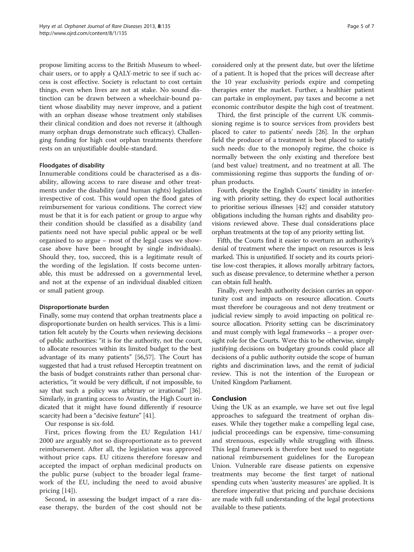propose limiting access to the British Museum to wheelchair users, or to apply a QALY-metric to see if such access is cost effective. Society is reluctant to cost certain things, even when lives are not at stake. No sound distinction can be drawn between a wheelchair-bound patient whose disability may never improve, and a patient with an orphan disease whose treatment only stabilises their clinical condition and does not reverse it (although many orphan drugs demonstrate such efficacy). Challenging funding for high cost orphan treatments therefore rests on an unjustifiable double-standard.

#### Floodgates of disability

Innumerable conditions could be characterised as a disability, allowing access to rare disease and other treatments under the disability (and human rights) legislation irrespective of cost. This would open the flood gates of reimbursement for various conditions. The correct view must be that it is for each patient or group to argue why their condition should be classified as a disability (and patients need not have special public appeal or be well organised to so argue – most of the legal cases we showcase above have been brought by single individuals). Should they, too, succeed, this is a legitimate result of the wording of the legislation. If costs become untenable, this must be addressed on a governmental level, and not at the expense of an individual disabled citizen or small patient group.

#### Disproportionate burden

Finally, some may contend that orphan treatments place a disproportionate burden on health services. This is a limitation felt acutely by the Courts when reviewing decisions of public authorities: "it is for the authority, not the court, to allocate resources within its limited budget to the best advantage of its many patients" [\[56,57](#page-6-0)]. The Court has suggested that had a trust refused Herceptin treatment on the basis of budget constraints rather than personal characteristics, "it would be very difficult, if not impossible, to say that such a policy was arbitrary or irrational" [[36](#page-6-0)]. Similarly, in granting access to Avastin, the High Court indicated that it might have found differently if resource scarcity had been a "decisive feature" [\[41\]](#page-6-0).

Our response is six-fold.

First, prices flowing from the EU Regulation 141/ 2000 are arguably not so disproportionate as to prevent reimbursement. After all, the legislation was approved without price caps. EU citizens therefore foresaw and accepted the impact of orphan medicinal products on the public purse (subject to the broader legal framework of the EU, including the need to avoid abusive pricing [[14](#page-5-0)]).

Second, in assessing the budget impact of a rare disease therapy, the burden of the cost should not be considered only at the present date, but over the lifetime of a patient. It is hoped that the prices will decrease after the 10 year exclusivity periods expire and competing therapies enter the market. Further, a healthier patient can partake in employment, pay taxes and become a net economic contributor despite the high cost of treatment.

Third, the first principle of the current UK commissioning regime is to source services from providers best placed to cater to patients' needs [[26\]](#page-5-0). In the orphan field the producer of a treatment is best placed to satisfy such needs: due to the monopoly regime, the choice is normally between the only existing and therefore best (and best value) treatment, and no treatment at all. The commissioning regime thus supports the funding of orphan products.

Fourth, despite the English Courts' timidity in interfering with priority setting, they do expect local authorities to prioritise serious illnesses [\[42\]](#page-6-0) and consider statutory obligations including the human rights and disability provisions reviewed above. These dual considerations place orphan treatments at the top of any priority setting list.

Fifth, the Courts find it easier to overturn an authority's denial of treatment where the impact on resources is less marked. This is unjustified. If society and its courts prioritise low-cost therapies, it allows morally arbitrary factors, such as disease prevalence, to determine whether a person can obtain full health.

Finally, every health authority decision carries an opportunity cost and impacts on resource allocation. Courts must therefore be courageous and not deny treatment or judicial review simply to avoid impacting on political resource allocation. Priority setting can be discriminatory and must comply with legal frameworks – a proper oversight role for the Courts. Were this to be otherwise, simply justifying decisions on budgetary grounds could place all decisions of a public authority outside the scope of human rights and discrimination laws, and the remit of judicial review. This is not the intention of the European or United Kingdom Parliament.

# Conclusion

Using the UK as an example, we have set out five legal approaches to safeguard the treatment of orphan diseases. While they together make a compelling legal case, judicial proceedings can be expensive, time-consuming and strenuous, especially while struggling with illness. This legal framework is therefore best used to negotiate national reimbursement guidelines for the European Union. Vulnerable rare disease patients on expensive treatments may become the first target of national spending cuts when 'austerity measures' are applied. It is therefore imperative that pricing and purchase decisions are made with full understanding of the legal protections available to these patients.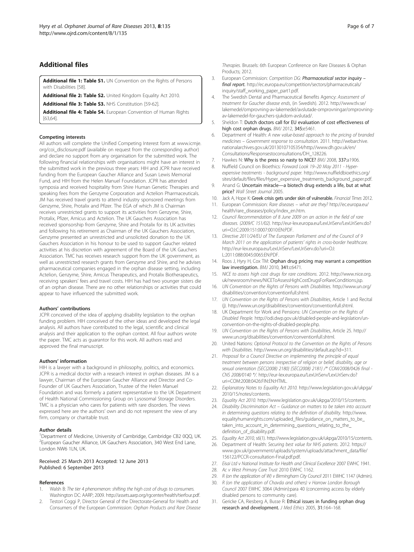# <span id="page-5-0"></span>Additional files

[Additional file 1: Table S1.](http://www.biomedcentral.com/content/supplementary/1750-1172-8-135-S1.doc) UN Convention on the Rights of Persons with Disabilities [\[58](#page-6-0)].

[Additional file 2: Table S2.](http://www.biomedcentral.com/content/supplementary/1750-1172-8-135-S2.doc) United Kingdom Equality Act 2010.

[Additional file 3: Table S3.](http://www.biomedcentral.com/content/supplementary/1750-1172-8-135-S3.doc) NHS Constitution [\[59-62\]](#page-6-0).

[Additional file 4: Table S4.](http://www.biomedcentral.com/content/supplementary/1750-1172-8-135-S4.doc) European Convention of Human Rights [[63,64\]](#page-6-0).

#### Competing interests

All authors will complete the Unified Competing Interest form at [www.icmje.](http://www.icmje.org/coi_disclosure.pdf) [org/coi\\_disclosure.pdf](http://www.icmje.org/coi_disclosure.pdf) (available on request from the corresponding author) and declare no support from any organisation for the submitted work. The following financial relationships with organisations might have an interest in the submitted work in the previous three years: HIH and JCPR have received funding from the European Gaucher Alliance and Susan Lewis Memorial Fund, and HIH from the Helen Manuel Foundation. JCPR has attended symposia and received hospitality from Shire Human Genetic Therapies and speaking fees from the Genzyme Corporation and Actelion Pharmaceuticals. JM has received travel grants to attend industry sponsored meetings from Genzyme, Shire, Protalix and Pfizer. The EGA of which JM is Chairman receives unrestricted grants to support its activities from Genzyme, Shire, Protalix, Pfizer, Amicus and Actelion. The UK Gauchers Association has received sponsorship from Genzyme, Shire and Protalix for its UK activities and following his retirement as Chairman of the UK Gauchers Association, Genzyme presented an unrestricted and unsolicited donation to the UK Gauchers Association in his honour to be used to support Gaucher related activities at his discretion with agreement of the Board of the UK Gauchers Association. TMC has receives research support from the UK government, as well as unrestricted research grants from Genzyme and Shire, and he advises pharmaceutical companies engaged in the orphan disease setting, including Actelion, Genzyme, Shire, Amicus Therapeutics, and Protalix Biotherapeutics, receiving speakers' fees and travel costs. HIH has had two younger sisters die of an orphan disease. There are no other relationships or activities that could appear to have influenced the submitted work.

#### Authors' contributions

JCPR conceived of the idea of applying disability legislation to the orphan funding problem. HIH conceived of the other ideas and developed the legal analysis. All authors have contributed to the legal, scientific and clinical analysis and their application to the orphan context. All four authors wrote the paper. TMC acts as guarantor for this work. All authors read and approved the final manuscript.

#### Authors' information

HIH is a lawyer with a background in philosophy, politics, and economics. JCPR is a medical doctor with a research interest in orphan diseases. JM is a lawyer, Chairman of the European Gaucher Alliance and Director and Co-Founder of UK Gauchers Association, Trustee of the Helen Manuel Foundation and was formerly a patient representative to the UK Department of Health National Commissioning Group on Lysosomal Storage Disorders. TMC is a physician who cares for patients with rare disorders. The views expressed here are the authors' own and do not represent the view of any firm, company or charitable trust.

#### Author details

<sup>1</sup>Department of Medicine, University of Cambridge, Cambridge CB2 0QQ, UK. <sup>2</sup> European Gaucher Alliance, UK Gauchers Association, 340 West End Lane, London NW6 1LN, UK.

#### Received: 25 March 2013 Accepted: 12 June 2013 Published: 6 September 2013

#### References

- Walsh B: The tier 4 phenomenon: shifting the high cost of drugs to consumers. Washington DC: AARP; 2009. [http://assets.aarp.org/rgcenter/health/tierfour.pdf.](http://assets.aarp.org/rgcenter/health/tierfour.pdf)
- 2. Testori Coggi P, Director General of the Directorate-General for Health and Consumers of the European Commission: Orphan Products and Rare Disease

Therapies. Brussels: 6th European Conference on Rare Diseases & Orphan Products; 2012.

- 3. European Commission: Competition DG: Pharmaceutical sector inquiry final report. [http://ec.europa.eu/competition/sectors/pharmaceuticals/](http://ec.europa.eu/competition/sectors/pharmaceuticals/inquiry/staff_working_paper_part1.pdf) [inquiry/staff\\_working\\_paper\\_part1.pdf.](http://ec.europa.eu/competition/sectors/pharmaceuticals/inquiry/staff_working_paper_part1.pdf)
- 4. The Swedish Dental and Pharmaceutical Benefits Agency: Assessment of treatment for Gaucher disease ends, (in Swedish). 2012. [http://www.tlv.se/](http://www.tlv.se/lakemedel/omprovning-av-lakemedel/avslutade-omprovningar/omprovning-av-lakemedel-for-gauchers-sjukdom-avslutad/) [lakemedel/omprovning-av-lakemedel/avslutade-omprovningar/omprovning](http://www.tlv.se/lakemedel/omprovning-av-lakemedel/avslutade-omprovningar/omprovning-av-lakemedel-for-gauchers-sjukdom-avslutad/)[av-lakemedel-for-gauchers-sjukdom-avslutad/.](http://www.tlv.se/lakemedel/omprovning-av-lakemedel/avslutade-omprovningar/omprovning-av-lakemedel-for-gauchers-sjukdom-avslutad/)
- 5. Sheldon T: Dutch doctors call for EU evaluation of cost effectiveness of high cost orphan drugs. BMJ 2012, 345:e5461.
- 6. Department of Health: A new value-based approach to the pricing of branded medicines – Government response to consultation. 2011. [http://webarchive.](http://webarchive.nationalarchives.gov.uk/20130107105354/http://www.dh.gov.uk/en/Consultations/Responsestoconsultations/DH_128226) [nationalarchives.gov.uk/20130107105354/http://www.dh.gov.uk/en/](http://webarchive.nationalarchives.gov.uk/20130107105354/http://www.dh.gov.uk/en/Consultations/Responsestoconsultations/DH_128226) [Consultations/Responsestoconsultations/DH\\_128226](http://webarchive.nationalarchives.gov.uk/20130107105354/http://www.dh.gov.uk/en/Consultations/Responsestoconsultations/DH_128226).
- 7. Hawkes N: Why is the press so nasty to NICE? BMJ 2008, 337:a1906.
- 8. Nuffield Council on Bioethics: Forward Look 19–20 May 2011 Hyperexpensive treatments - background paper. [http://www.nuffieldbioethics.org/](http://www.nuffieldbioethics.org/sites/default/files/files/Hyper_expensive_treatments_background_paper.pdf) [sites/default/files/files/Hyper\\_expensive\\_treatments\\_background\\_paper.pdf.](http://www.nuffieldbioethics.org/sites/default/files/files/Hyper_expensive_treatments_background_paper.pdf)
- 9. Anand G: Uncertain miracle—a biotech drug extends a life, but at what price? Wall Street Journal 2005.
- 10. Jack A, Hope K: Greek crisis gets under skin of vulnerable. Financial Times 2012.
- 11. European Commission: Rare diseases what are they? [http://ec.europa.eu/](http://ec.europa.eu/health/rare_diseases/policy/index_en.htm) [health/rare\\_diseases/policy/index\\_en.htm](http://ec.europa.eu/health/rare_diseases/policy/index_en.htm).
- 12. Council Recommendation of 8 June 2009 on an action in the field of rare diseases. (2009/C 151/02). [http://eur-lex.europa.eu/LexUriServ/LexUriServ.do?](http://eur-lex.europa.eu/LexUriServ/LexUriServ.do?uri=OJ:C:2009:151:0007:0010:EN:PDF) [uri=OJ:C:2009:151:0007:0010:EN:PDF](http://eur-lex.europa.eu/LexUriServ/LexUriServ.do?uri=OJ:C:2009:151:0007:0010:EN:PDF).
- 13. Directive 2011/24/EU of The European Parliament and of the Council of 9 March 2011 on the application of patients' rights in cross-border healthcare. [http://eur-lex.europa.eu/LexUriServ/LexUriServ.do?uri=OJ:](http://eur-lex.europa.eu/LexUriServ/LexUriServ.do?uri=OJ:L:2011:088:0045:0065:EN:PDF) [L:2011:088:0045:0065:EN:PDF](http://eur-lex.europa.eu/LexUriServ/LexUriServ.do?uri=OJ:L:2011:088:0045:0065:EN:PDF).
- 14. Roos J, Hyry H, Cox TM: Orphan drug pricing may warrant a competition law investigation. BMJ 2010, 341:c6471.
- 15. NICE to assess high cost drugs for rare conditions. 2012. [http://www.nice.org.](http://www.nice.org.uk/newsroom/news/NICEToAssessHighCostDrugsForRareConditions.jsp) [uk/newsroom/news/NICEToAssessHighCostDrugsForRareConditions.jsp](http://www.nice.org.uk/newsroom/news/NICEToAssessHighCostDrugsForRareConditions.jsp).
- 16. UN Convention on the Rights of Persons with Disabilities. [http://www.un.org/](http://www.un.org/disabilities/convention/conventionfull.shtml) [disabilities/convention/conventionfull.shtml.](http://www.un.org/disabilities/convention/conventionfull.shtml)
- 17. UN Convention on the Rights of Persons with Disabilities, Article 1 and Recital (j). [http://www.un.org/disabilities/convention/conventionfull.shtml.](http://www.un.org/disabilities/convention/conventionfull.shtml)
- 18. UK Department for Work and Pensions: UN Convention on the Rights of Disabled People. [http://odi.dwp.gov.uk/disabled-people-and-legislation/un](http://odi.dwp.gov.uk/disabled-people-and-legislation/un-convention-on-the-rights-of-disabled-people.php)[convention-on-the-rights-of-disabled-people.php](http://odi.dwp.gov.uk/disabled-people-and-legislation/un-convention-on-the-rights-of-disabled-people.php).
- 19. UN Convention on the Rights of Persons with Disabilities, Article 25. [http://](http://www.un.org/disabilities/convention/conventionfull.shtml) [www.un.org/disabilities/convention/conventionfull.shtml](http://www.un.org/disabilities/convention/conventionfull.shtml).
- 20. United Nations: Optional Protocol to the Convention on the Rights of Persons with Disabilities. [http://www.un.org/disabilities/default.asp?id=311.](http://www.un.org/disabilities/default.asp?id=311)
- 21. Proposal for a Council Directive on implementing the principle of equal treatment between persons irrespective of religion or belief, disability, age or sexual orientation {SEC(2008) 2180} {SEC(2008) 2181} /\* COM/2008/0426 final - CNS 2008/0140 \*/. [http://eur-lex.europa.eu/LexUriServ/LexUriServ.do?](http://eur-lex.europa.eu/LexUriServ/LexUriServ.do?uri=COM:2008:0426:FIN:EN:HTML) [uri=COM:2008:0426:FIN:EN:HTML](http://eur-lex.europa.eu/LexUriServ/LexUriServ.do?uri=COM:2008:0426:FIN:EN:HTML).
- 22. Explanatory Notes to Equality Act 2010. [http://www.legislation.gov.uk/ukpga/](http://www.legislation.gov.uk/ukpga/2010/15/notes/contents) [2010/15/notes/contents](http://www.legislation.gov.uk/ukpga/2010/15/notes/contents).
- 23. Equality Act 2010. [http://www.legislation.gov.uk/ukpga/2010/15/contents.](http://www.legislation.gov.uk/ukpga/2010/15/contents)
- 24. Disability Discrimination Act Guidance on matters to be taken into account in determining questions relating to the definition of disability. [http://www.](http://www.equalityhumanrights.com/uploaded_files/guidance_on_matters_to_be_taken_into_account_in_determining_questions_relating_to_the_definition_of_disability.pdf) [equalityhumanrights.com/uploaded\\_files/guidance\\_on\\_matters\\_to\\_be\\_](http://www.equalityhumanrights.com/uploaded_files/guidance_on_matters_to_be_taken_into_account_in_determining_questions_relating_to_the_definition_of_disability.pdf) [taken\\_into\\_account\\_in\\_determining\\_questions\\_relating\\_to\\_the\\_](http://www.equalityhumanrights.com/uploaded_files/guidance_on_matters_to_be_taken_into_account_in_determining_questions_relating_to_the_definition_of_disability.pdf) [definition\\_of\\_disability.pdf](http://www.equalityhumanrights.com/uploaded_files/guidance_on_matters_to_be_taken_into_account_in_determining_questions_relating_to_the_definition_of_disability.pdf).
- 25. Equality Act 2010, s6(1). [http://www.legislation.gov.uk/ukpga/2010/15/contents.](http://www.legislation.gov.uk/ukpga/2010/15/contents)
- 26. Department of Health: Securing best value for NHS patients. 2012. [https://](https://www.gov.uk/government/uploads/system/uploads/attachment_data/file/156122/PCCR-consultation-Final.pdf.pdf) [www.gov.uk/government/uploads/system/uploads/attachment\\_data/file/](https://www.gov.uk/government/uploads/system/uploads/attachment_data/file/156122/PCCR-consultation-Final.pdf.pdf) [156122/PCCR-consultation-Final.pdf.pdf.](https://www.gov.uk/government/uploads/system/uploads/attachment_data/file/156122/PCCR-consultation-Final.pdf.pdf)
- 27. Eisai Ltd v National Institute for Health and Clinical Excellence 2007 EWHC 1941.
- 28. Ac v West Primary Care Trust 2010 EWHC 1162.
- 29. R (on the application of W) v Birmingham City Council 2011 EWHC 1147 (Admin).
- 30. R (on the application of Chavda and others) v Harrow London Borough Council 2007 EWHC 3064 (Admin):para 40 (concerning access by elderly disabled persons to community care).
- 31. Gericke CA, Riesberg A, Busse R: Ethical issues in funding orphan drug research and development. J Med Ethics 2005, 31:164–168.